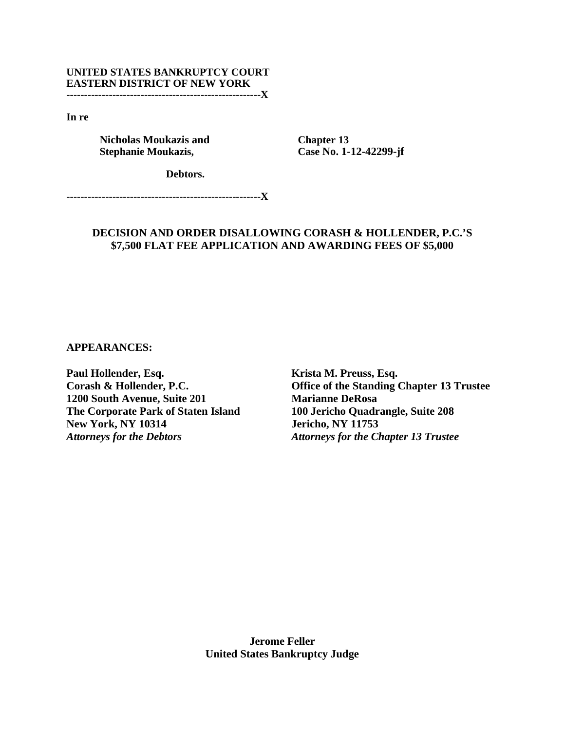### **UNITED STATES BANKRUPTCY COURT EASTERN DISTRICT OF NEW YORK -------------------------------------------------------X**

**In re** 

 **Nicholas Moukazis and Stephanie Moukazis,** 

 **Chapter 13 Case No. 1-12-42299-jf**

**Debtors.** 

**-------------------------------------------------------X** 

# **DECISION AND ORDER DISALLOWING CORASH & HOLLENDER, P.C.'S \$7,500 FLAT FEE APPLICATION AND AWARDING FEES OF \$5,000**

**APPEARANCES:** 

**Paul Hollender, Esq. Corash & Hollender, P.C. 1200 South Avenue, Suite 201 The Corporate Park of Staten Island New York, NY 10314**  *Attorneys for the Debtors*

**Krista M. Preuss, Esq. Office of the Standing Chapter 13 Trustee Marianne DeRosa 100 Jericho Quadrangle, Suite 208 Jericho, NY 11753**  *Attorneys for the Chapter 13 Trustee* 

**Jerome Feller United States Bankruptcy Judge**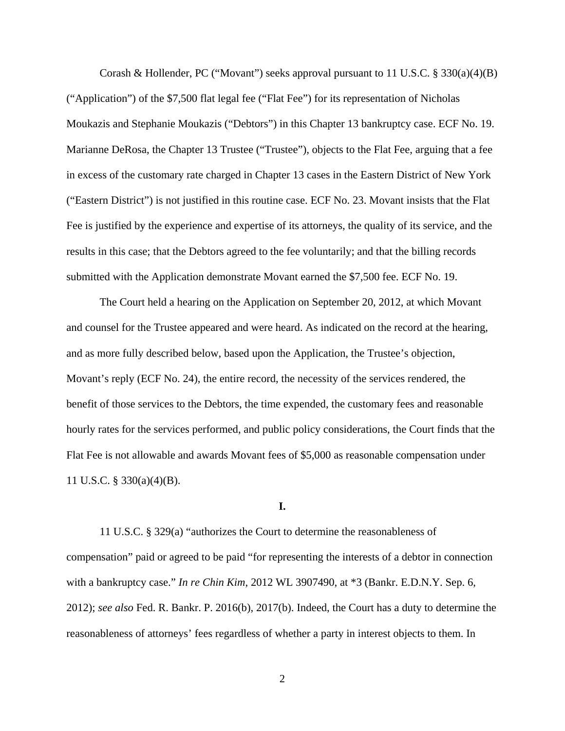Corash & Hollender, PC ("Movant") seeks approval pursuant to 11 U.S.C. § 330(a)(4)(B) ("Application") of the \$7,500 flat legal fee ("Flat Fee") for its representation of Nicholas Moukazis and Stephanie Moukazis ("Debtors") in this Chapter 13 bankruptcy case. ECF No. 19. Marianne DeRosa, the Chapter 13 Trustee ("Trustee"), objects to the Flat Fee, arguing that a fee in excess of the customary rate charged in Chapter 13 cases in the Eastern District of New York ("Eastern District") is not justified in this routine case. ECF No. 23. Movant insists that the Flat Fee is justified by the experience and expertise of its attorneys, the quality of its service, and the results in this case; that the Debtors agreed to the fee voluntarily; and that the billing records submitted with the Application demonstrate Movant earned the \$7,500 fee. ECF No. 19.

The Court held a hearing on the Application on September 20, 2012, at which Movant and counsel for the Trustee appeared and were heard. As indicated on the record at the hearing, and as more fully described below, based upon the Application, the Trustee's objection, Movant's reply (ECF No. 24), the entire record, the necessity of the services rendered, the benefit of those services to the Debtors, the time expended, the customary fees and reasonable hourly rates for the services performed, and public policy considerations, the Court finds that the Flat Fee is not allowable and awards Movant fees of \$5,000 as reasonable compensation under 11 U.S.C. § 330(a)(4)(B).

#### **I.**

11 U.S.C. § 329(a) "authorizes the Court to determine the reasonableness of compensation" paid or agreed to be paid "for representing the interests of a debtor in connection with a bankruptcy case." *In re Chin Kim*, 2012 WL 3907490, at \*3 (Bankr. E.D.N.Y. Sep. 6, 2012); *see also* Fed. R. Bankr. P. 2016(b), 2017(b). Indeed, the Court has a duty to determine the reasonableness of attorneys' fees regardless of whether a party in interest objects to them. In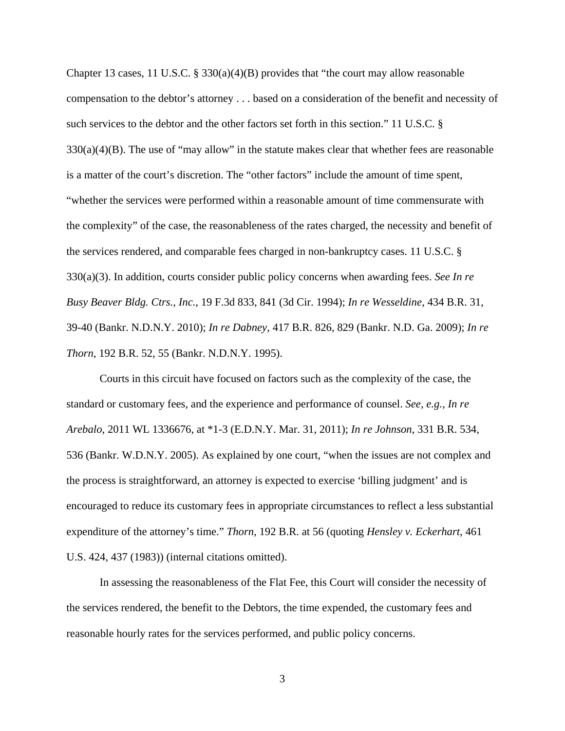Chapter 13 cases, 11 U.S.C. § 330(a)(4)(B) provides that "the court may allow reasonable compensation to the debtor's attorney . . . based on a consideration of the benefit and necessity of such services to the debtor and the other factors set forth in this section." 11 U.S.C. §  $330(a)(4)(B)$ . The use of "may allow" in the statute makes clear that whether fees are reasonable is a matter of the court's discretion. The "other factors" include the amount of time spent, "whether the services were performed within a reasonable amount of time commensurate with the complexity" of the case, the reasonableness of the rates charged, the necessity and benefit of the services rendered, and comparable fees charged in non-bankruptcy cases. 11 U.S.C. § 330(a)(3). In addition, courts consider public policy concerns when awarding fees. *See In re Busy Beaver Bldg. Ctrs., Inc.*, 19 F.3d 833, 841 (3d Cir. 1994); *In re Wesseldine*, 434 B.R. 31, 39-40 (Bankr. N.D.N.Y. 2010); *In re Dabney*, 417 B.R. 826, 829 (Bankr. N.D. Ga. 2009); *In re Thorn*, 192 B.R. 52, 55 (Bankr. N.D.N.Y. 1995).

Courts in this circuit have focused on factors such as the complexity of the case, the standard or customary fees, and the experience and performance of counsel. *See, e.g.*, *In re Arebalo*, 2011 WL 1336676, at \*1-3 (E.D.N.Y. Mar. 31, 2011); *In re Johnson*, 331 B.R. 534, 536 (Bankr. W.D.N.Y. 2005). As explained by one court, "when the issues are not complex and the process is straightforward, an attorney is expected to exercise 'billing judgment' and is encouraged to reduce its customary fees in appropriate circumstances to reflect a less substantial expenditure of the attorney's time." *Thorn*, 192 B.R. at 56 (quoting *Hensley v. Eckerhart*, 461 U.S. 424, 437 (1983)) (internal citations omitted).

In assessing the reasonableness of the Flat Fee, this Court will consider the necessity of the services rendered, the benefit to the Debtors, the time expended, the customary fees and reasonable hourly rates for the services performed, and public policy concerns.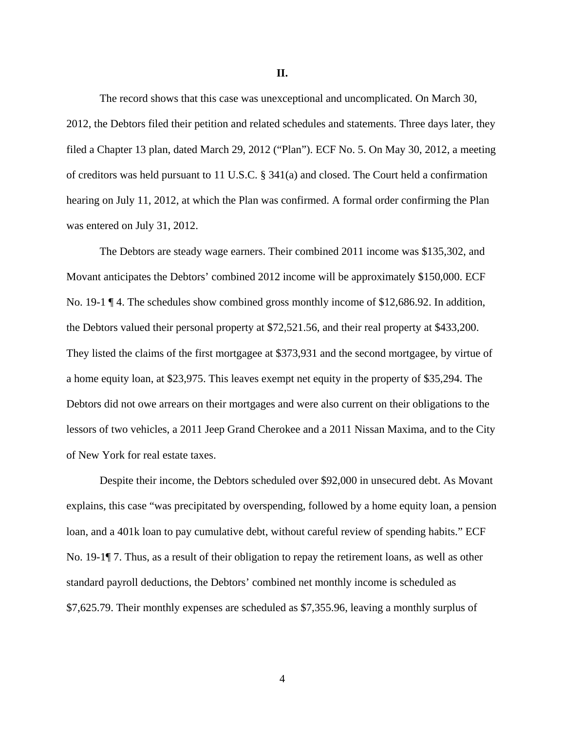**II.** 

The record shows that this case was unexceptional and uncomplicated. On March 30, 2012, the Debtors filed their petition and related schedules and statements. Three days later, they filed a Chapter 13 plan, dated March 29, 2012 ("Plan"). ECF No. 5. On May 30, 2012, a meeting of creditors was held pursuant to 11 U.S.C. § 341(a) and closed. The Court held a confirmation hearing on July 11, 2012, at which the Plan was confirmed. A formal order confirming the Plan was entered on July 31, 2012.

The Debtors are steady wage earners. Their combined 2011 income was \$135,302, and Movant anticipates the Debtors' combined 2012 income will be approximately \$150,000. ECF No. 19-1 ¶ 4. The schedules show combined gross monthly income of \$12,686.92. In addition, the Debtors valued their personal property at \$72,521.56, and their real property at \$433,200. They listed the claims of the first mortgagee at \$373,931 and the second mortgagee, by virtue of a home equity loan, at \$23,975. This leaves exempt net equity in the property of \$35,294. The Debtors did not owe arrears on their mortgages and were also current on their obligations to the lessors of two vehicles, a 2011 Jeep Grand Cherokee and a 2011 Nissan Maxima, and to the City of New York for real estate taxes.

Despite their income, the Debtors scheduled over \$92,000 in unsecured debt. As Movant explains, this case "was precipitated by overspending, followed by a home equity loan, a pension loan, and a 401k loan to pay cumulative debt, without careful review of spending habits." ECF No. 19-1¶ 7. Thus, as a result of their obligation to repay the retirement loans, as well as other standard payroll deductions, the Debtors' combined net monthly income is scheduled as \$7,625.79. Their monthly expenses are scheduled as \$7,355.96, leaving a monthly surplus of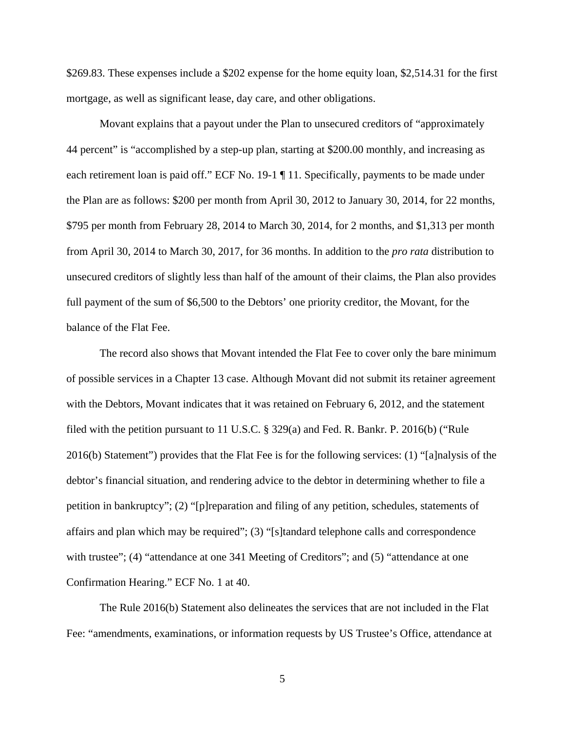\$269.83. These expenses include a \$202 expense for the home equity loan, \$2,514.31 for the first mortgage, as well as significant lease, day care, and other obligations.

Movant explains that a payout under the Plan to unsecured creditors of "approximately 44 percent" is "accomplished by a step-up plan, starting at \$200.00 monthly, and increasing as each retirement loan is paid off." ECF No. 19-1 ¶ 11. Specifically, payments to be made under the Plan are as follows: \$200 per month from April 30, 2012 to January 30, 2014, for 22 months, \$795 per month from February 28, 2014 to March 30, 2014, for 2 months, and \$1,313 per month from April 30, 2014 to March 30, 2017, for 36 months. In addition to the *pro rata* distribution to unsecured creditors of slightly less than half of the amount of their claims, the Plan also provides full payment of the sum of \$6,500 to the Debtors' one priority creditor, the Movant, for the balance of the Flat Fee.

The record also shows that Movant intended the Flat Fee to cover only the bare minimum of possible services in a Chapter 13 case. Although Movant did not submit its retainer agreement with the Debtors, Movant indicates that it was retained on February 6, 2012, and the statement filed with the petition pursuant to 11 U.S.C. § 329(a) and Fed. R. Bankr. P. 2016(b) ("Rule 2016(b) Statement") provides that the Flat Fee is for the following services: (1) "[a]nalysis of the debtor's financial situation, and rendering advice to the debtor in determining whether to file a petition in bankruptcy"; (2) "[p]reparation and filing of any petition, schedules, statements of affairs and plan which may be required"; (3) "[s]tandard telephone calls and correspondence with trustee"; (4) "attendance at one 341 Meeting of Creditors"; and (5) "attendance at one Confirmation Hearing." ECF No. 1 at 40.

The Rule 2016(b) Statement also delineates the services that are not included in the Flat Fee: "amendments, examinations, or information requests by US Trustee's Office, attendance at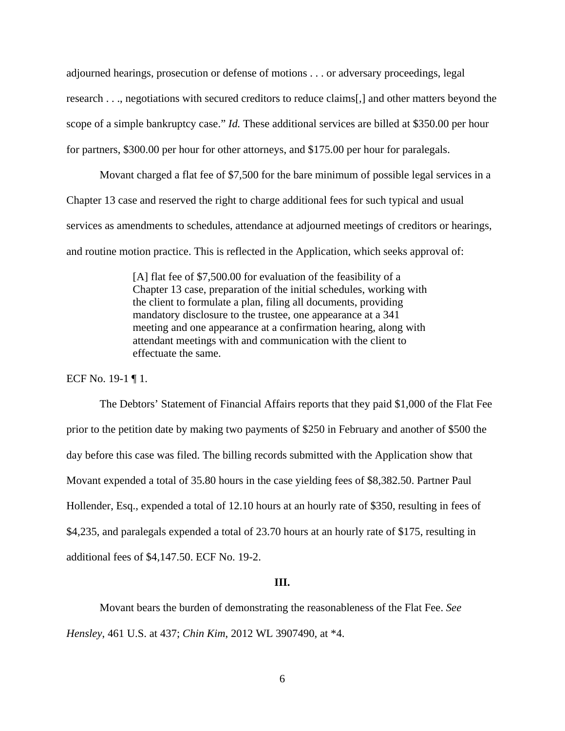adjourned hearings, prosecution or defense of motions . . . or adversary proceedings, legal research . . ., negotiations with secured creditors to reduce claims[,] and other matters beyond the scope of a simple bankruptcy case." *Id.* These additional services are billed at \$350.00 per hour for partners, \$300.00 per hour for other attorneys, and \$175.00 per hour for paralegals.

Movant charged a flat fee of \$7,500 for the bare minimum of possible legal services in a Chapter 13 case and reserved the right to charge additional fees for such typical and usual services as amendments to schedules, attendance at adjourned meetings of creditors or hearings, and routine motion practice. This is reflected in the Application, which seeks approval of:

> [A] flat fee of \$7,500.00 for evaluation of the feasibility of a Chapter 13 case, preparation of the initial schedules, working with the client to formulate a plan, filing all documents, providing mandatory disclosure to the trustee, one appearance at a 341 meeting and one appearance at a confirmation hearing, along with attendant meetings with and communication with the client to effectuate the same.

ECF No. 19-1 ¶ 1.

The Debtors' Statement of Financial Affairs reports that they paid \$1,000 of the Flat Fee prior to the petition date by making two payments of \$250 in February and another of \$500 the day before this case was filed. The billing records submitted with the Application show that Movant expended a total of 35.80 hours in the case yielding fees of \$8,382.50. Partner Paul Hollender, Esq., expended a total of 12.10 hours at an hourly rate of \$350, resulting in fees of \$4,235, and paralegals expended a total of 23.70 hours at an hourly rate of \$175, resulting in additional fees of \$4,147.50. ECF No. 19-2.

#### **III.**

Movant bears the burden of demonstrating the reasonableness of the Flat Fee. *See Hensley*, 461 U.S. at 437; *Chin Kim*, 2012 WL 3907490, at \*4.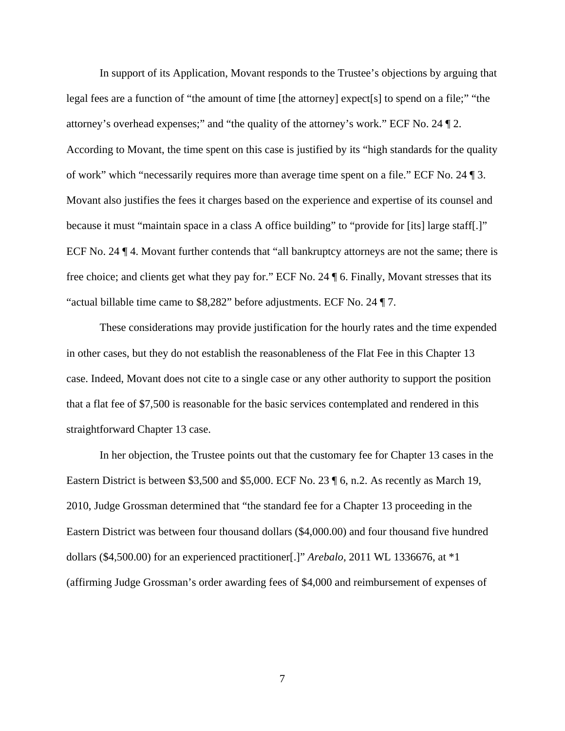In support of its Application, Movant responds to the Trustee's objections by arguing that legal fees are a function of "the amount of time [the attorney] expect[s] to spend on a file;" "the attorney's overhead expenses;" and "the quality of the attorney's work." ECF No. 24 ¶ 2. According to Movant, the time spent on this case is justified by its "high standards for the quality of work" which "necessarily requires more than average time spent on a file." ECF No. 24 ¶ 3. Movant also justifies the fees it charges based on the experience and expertise of its counsel and because it must "maintain space in a class A office building" to "provide for [its] large staff[.]" ECF No. 24 ¶ 4. Movant further contends that "all bankruptcy attorneys are not the same; there is free choice; and clients get what they pay for." ECF No. 24 ¶ 6. Finally, Movant stresses that its "actual billable time came to \$8,282" before adjustments. ECF No. 24 ¶ 7.

These considerations may provide justification for the hourly rates and the time expended in other cases, but they do not establish the reasonableness of the Flat Fee in this Chapter 13 case. Indeed, Movant does not cite to a single case or any other authority to support the position that a flat fee of \$7,500 is reasonable for the basic services contemplated and rendered in this straightforward Chapter 13 case.

In her objection, the Trustee points out that the customary fee for Chapter 13 cases in the Eastern District is between \$3,500 and \$5,000. ECF No. 23 ¶ 6, n.2. As recently as March 19, 2010, Judge Grossman determined that "the standard fee for a Chapter 13 proceeding in the Eastern District was between four thousand dollars (\$4,000.00) and four thousand five hundred dollars (\$4,500.00) for an experienced practitioner[.]" *Arebalo*, 2011 WL 1336676, at \*1 (affirming Judge Grossman's order awarding fees of \$4,000 and reimbursement of expenses of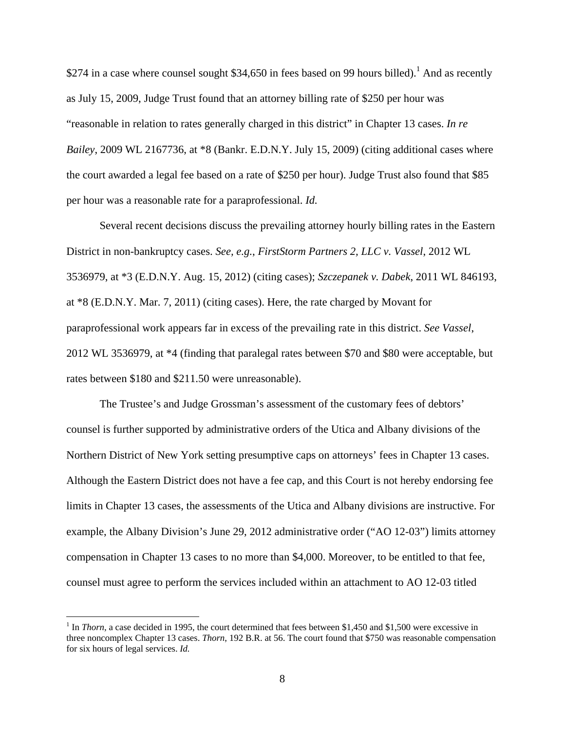\$274 in a case where counsel sought \$34,650 in fees based on 99 hours billed).<sup>1</sup> And as recently as July 15, 2009, Judge Trust found that an attorney billing rate of \$250 per hour was "reasonable in relation to rates generally charged in this district" in Chapter 13 cases. *In re Bailey*, 2009 WL 2167736, at \*8 (Bankr. E.D.N.Y. July 15, 2009) (citing additional cases where the court awarded a legal fee based on a rate of \$250 per hour). Judge Trust also found that \$85 per hour was a reasonable rate for a paraprofessional. *Id.*

Several recent decisions discuss the prevailing attorney hourly billing rates in the Eastern District in non-bankruptcy cases. *See, e.g.*, *FirstStorm Partners 2, LLC v. Vassel*, 2012 WL 3536979, at \*3 (E.D.N.Y. Aug. 15, 2012) (citing cases); *Szczepanek v. Dabek*, 2011 WL 846193, at \*8 (E.D.N.Y. Mar. 7, 2011) (citing cases). Here, the rate charged by Movant for paraprofessional work appears far in excess of the prevailing rate in this district. *See Vassel*, 2012 WL 3536979, at \*4 (finding that paralegal rates between \$70 and \$80 were acceptable, but rates between \$180 and \$211.50 were unreasonable).

The Trustee's and Judge Grossman's assessment of the customary fees of debtors' counsel is further supported by administrative orders of the Utica and Albany divisions of the Northern District of New York setting presumptive caps on attorneys' fees in Chapter 13 cases. Although the Eastern District does not have a fee cap, and this Court is not hereby endorsing fee limits in Chapter 13 cases, the assessments of the Utica and Albany divisions are instructive. For example, the Albany Division's June 29, 2012 administrative order ("AO 12-03") limits attorney compensation in Chapter 13 cases to no more than \$4,000. Moreover, to be entitled to that fee, counsel must agree to perform the services included within an attachment to AO 12-03 titled

<u>.</u>

<sup>&</sup>lt;sup>1</sup> In *Thorn*, a case decided in 1995, the court determined that fees between \$1,450 and \$1,500 were excessive in three noncomplex Chapter 13 cases. *Thorn*, 192 B.R. at 56. The court found that \$750 was reasonable compensation for six hours of legal services. *Id.*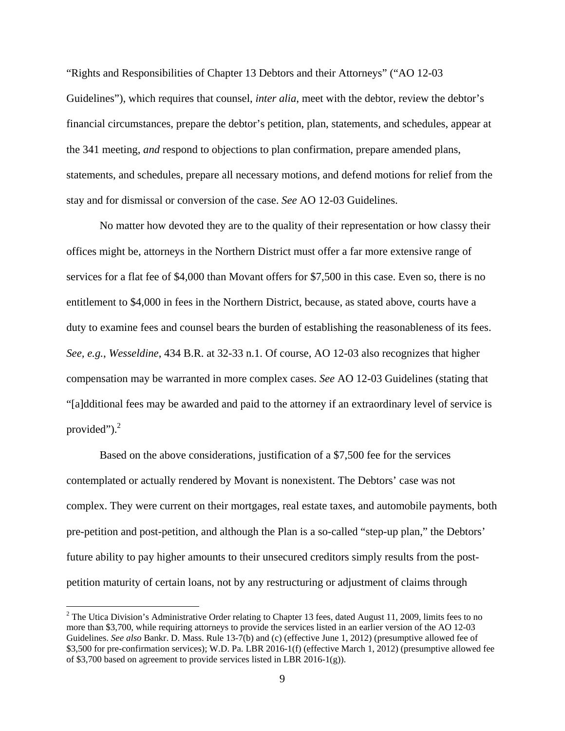"Rights and Responsibilities of Chapter 13 Debtors and their Attorneys" ("AO 12-03 Guidelines"), which requires that counsel, *inter alia*, meet with the debtor, review the debtor's financial circumstances, prepare the debtor's petition, plan, statements, and schedules, appear at the 341 meeting, *and* respond to objections to plan confirmation, prepare amended plans, statements, and schedules, prepare all necessary motions, and defend motions for relief from the stay and for dismissal or conversion of the case. *See* AO 12-03 Guidelines.

No matter how devoted they are to the quality of their representation or how classy their offices might be, attorneys in the Northern District must offer a far more extensive range of services for a flat fee of \$4,000 than Movant offers for \$7,500 in this case. Even so, there is no entitlement to \$4,000 in fees in the Northern District, because, as stated above, courts have a duty to examine fees and counsel bears the burden of establishing the reasonableness of its fees. *See, e.g.*, *Wesseldine*, 434 B.R. at 32-33 n.1. Of course, AO 12-03 also recognizes that higher compensation may be warranted in more complex cases. *See* AO 12-03 Guidelines (stating that "[a]dditional fees may be awarded and paid to the attorney if an extraordinary level of service is provided" $)^2$ .

Based on the above considerations, justification of a \$7,500 fee for the services contemplated or actually rendered by Movant is nonexistent. The Debtors' case was not complex. They were current on their mortgages, real estate taxes, and automobile payments, both pre-petition and post-petition, and although the Plan is a so-called "step-up plan," the Debtors' future ability to pay higher amounts to their unsecured creditors simply results from the postpetition maturity of certain loans, not by any restructuring or adjustment of claims through

 $\overline{a}$ 

<sup>&</sup>lt;sup>2</sup> The Utica Division's Administrative Order relating to Chapter 13 fees, dated August 11, 2009, limits fees to no more than \$3,700, while requiring attorneys to provide the services listed in an earlier version of the AO 12-03 Guidelines. *See also* Bankr. D. Mass. Rule 13-7(b) and (c) (effective June 1, 2012) (presumptive allowed fee of \$3,500 for pre-confirmation services); W.D. Pa. LBR 2016-1(f) (effective March 1, 2012) (presumptive allowed fee of \$3,700 based on agreement to provide services listed in LBR 2016-1(g)).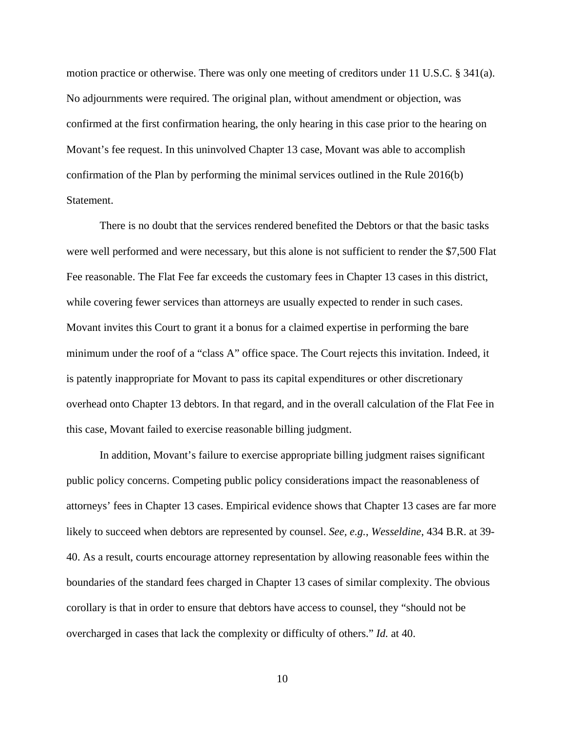motion practice or otherwise. There was only one meeting of creditors under 11 U.S.C. § 341(a). No adjournments were required. The original plan, without amendment or objection, was confirmed at the first confirmation hearing, the only hearing in this case prior to the hearing on Movant's fee request. In this uninvolved Chapter 13 case, Movant was able to accomplish confirmation of the Plan by performing the minimal services outlined in the Rule 2016(b) Statement.

There is no doubt that the services rendered benefited the Debtors or that the basic tasks were well performed and were necessary, but this alone is not sufficient to render the \$7,500 Flat Fee reasonable. The Flat Fee far exceeds the customary fees in Chapter 13 cases in this district, while covering fewer services than attorneys are usually expected to render in such cases. Movant invites this Court to grant it a bonus for a claimed expertise in performing the bare minimum under the roof of a "class A" office space. The Court rejects this invitation. Indeed, it is patently inappropriate for Movant to pass its capital expenditures or other discretionary overhead onto Chapter 13 debtors. In that regard, and in the overall calculation of the Flat Fee in this case, Movant failed to exercise reasonable billing judgment.

In addition, Movant's failure to exercise appropriate billing judgment raises significant public policy concerns. Competing public policy considerations impact the reasonableness of attorneys' fees in Chapter 13 cases. Empirical evidence shows that Chapter 13 cases are far more likely to succeed when debtors are represented by counsel. *See, e.g.*, *Wesseldine*, 434 B.R. at 39- 40. As a result, courts encourage attorney representation by allowing reasonable fees within the boundaries of the standard fees charged in Chapter 13 cases of similar complexity. The obvious corollary is that in order to ensure that debtors have access to counsel, they "should not be overcharged in cases that lack the complexity or difficulty of others." *Id.* at 40.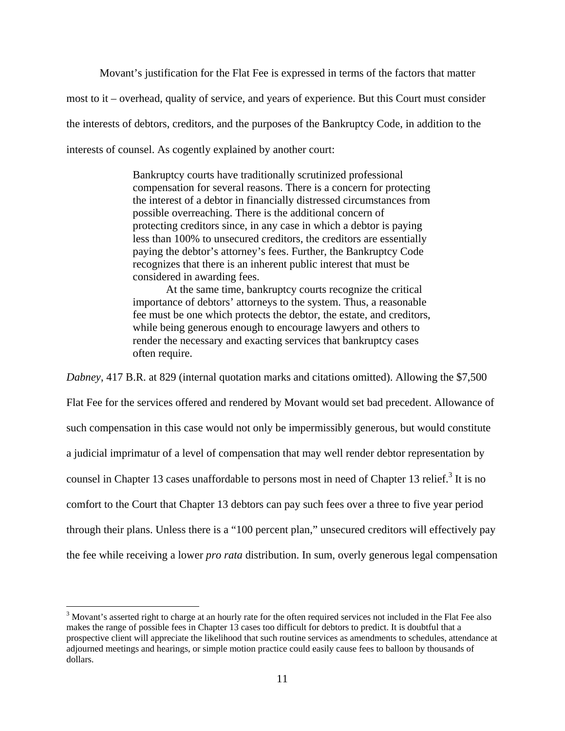Movant's justification for the Flat Fee is expressed in terms of the factors that matter most to it – overhead, quality of service, and years of experience. But this Court must consider the interests of debtors, creditors, and the purposes of the Bankruptcy Code, in addition to the interests of counsel. As cogently explained by another court:

> Bankruptcy courts have traditionally scrutinized professional compensation for several reasons. There is a concern for protecting the interest of a debtor in financially distressed circumstances from possible overreaching. There is the additional concern of protecting creditors since, in any case in which a debtor is paying less than 100% to unsecured creditors, the creditors are essentially paying the debtor's attorney's fees. Further, the Bankruptcy Code recognizes that there is an inherent public interest that must be considered in awarding fees.

> At the same time, bankruptcy courts recognize the critical importance of debtors' attorneys to the system. Thus, a reasonable fee must be one which protects the debtor, the estate, and creditors, while being generous enough to encourage lawyers and others to render the necessary and exacting services that bankruptcy cases often require.

*Dabney*, 417 B.R. at 829 (internal quotation marks and citations omitted). Allowing the \$7,500

Flat Fee for the services offered and rendered by Movant would set bad precedent. Allowance of such compensation in this case would not only be impermissibly generous, but would constitute a judicial imprimatur of a level of compensation that may well render debtor representation by counsel in Chapter 13 cases unaffordable to persons most in need of Chapter 13 relief.<sup>3</sup> It is no comfort to the Court that Chapter 13 debtors can pay such fees over a three to five year period through their plans. Unless there is a "100 percent plan," unsecured creditors will effectively pay the fee while receiving a lower *pro rata* distribution. In sum, overly generous legal compensation

 $\overline{a}$ 

 $3$  Movant's asserted right to charge at an hourly rate for the often required services not included in the Flat Fee also makes the range of possible fees in Chapter 13 cases too difficult for debtors to predict. It is doubtful that a prospective client will appreciate the likelihood that such routine services as amendments to schedules, attendance at adjourned meetings and hearings, or simple motion practice could easily cause fees to balloon by thousands of dollars.